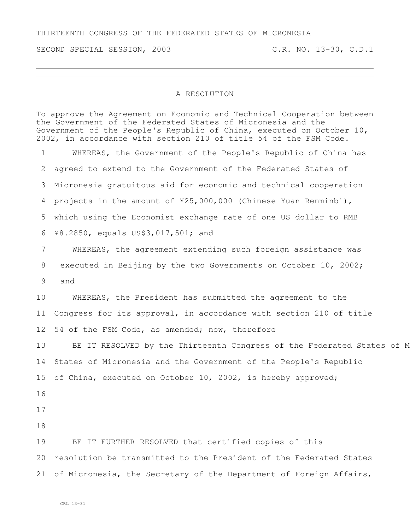## THIRTEENTH CONGRESS OF THE FEDERATED STATES OF MICRONESIA

SECOND SPECIAL SESSION, 2003 C.R. NO. 13-30, C.D.1

## A RESOLUTION

To approve the Agreement on Economic and Technical Cooperation between the Government of the Federated States of Micronesia and the Government of the People's Republic of China, executed on October 10, 2002, in accordance with section 210 of title 54 of the FSM Code. WHEREAS, the Government of the People's Republic of China has agreed to extend to the Government of the Federated States of Micronesia gratuitous aid for economic and technical cooperation projects in the amount of ¥25,000,000 (Chinese Yuan Renminbi), which using the Economist exchange rate of one US dollar to RMB ¥8.2850, equals US\$3,017,501; and WHEREAS, the agreement extending such foreign assistance was executed in Beijing by the two Governments on October 10, 2002; and WHEREAS, the President has submitted the agreement to the Congress for its approval, in accordance with section 210 of title 54 of the FSM Code, as amended; now, therefore 13 BE IT RESOLVED by the Thirteenth Congress of the Federated States of M States of Micronesia and the Government of the People's Republic of China, executed on October 10, 2002, is hereby approved; BE IT FURTHER RESOLVED that certified copies of this resolution be transmitted to the President of the Federated States of Micronesia, the Secretary of the Department of Foreign Affairs,